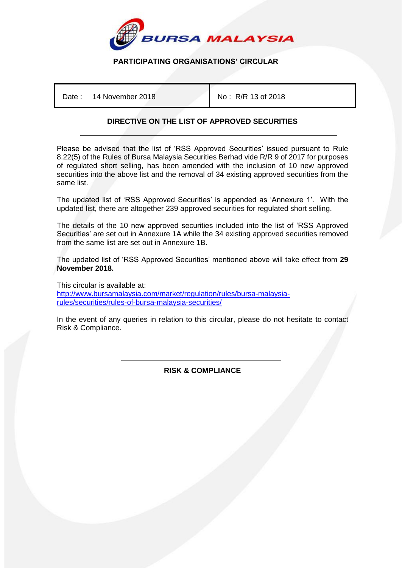

# **PARTICIPATING ORGANISATIONS' CIRCULAR**

Date: 14 November 2018 | No: R/R 13 of 2018

## **DIRECTIVE ON THE LIST OF APPROVED SECURITIES**

Please be advised that the list of 'RSS Approved Securities' issued pursuant to Rule 8.22(5) of the Rules of Bursa Malaysia Securities Berhad vide R/R 9 of 2017 for purposes of regulated short selling, has been amended with the inclusion of 10 new approved securities into the above list and the removal of 34 existing approved securities from the same list.

The updated list of 'RSS Approved Securities' is appended as 'Annexure 1'. With the updated list, there are altogether 239 approved securities for regulated short selling.

The details of the 10 new approved securities included into the list of 'RSS Approved Securities' are set out in Annexure 1A while the 34 existing approved securities removed from the same list are set out in Annexure 1B.

The updated list of 'RSS Approved Securities' mentioned above will take effect from **29 November 2018.**

This circular is available at: [http://www.bursamalaysia.com/market/regulation/rules/bursa-malaysia](http://www.bursamalaysia.com/market/regulation/rules/bursa-malaysia-rules/securities/rules-of-bursa-malaysia-securities/)[rules/securities/rules-of-bursa-malaysia-securities/](http://www.bursamalaysia.com/market/regulation/rules/bursa-malaysia-rules/securities/rules-of-bursa-malaysia-securities/)

In the event of any queries in relation to this circular, please do not hesitate to contact Risk & Compliance.

> İ **RISK & COMPLIANCE**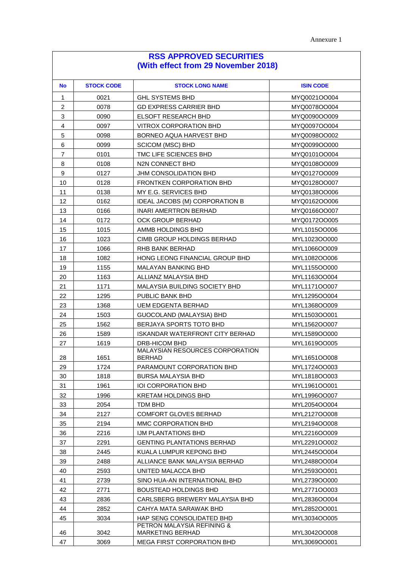| <b>No</b>      | <b>STOCK CODE</b> | <b>STOCK LONG NAME</b>                           | <b>ISIN CODE</b> |
|----------------|-------------------|--------------------------------------------------|------------------|
| 1              | 0021              | <b>GHL SYSTEMS BHD</b>                           | MYQ0021OO004     |
| $\overline{c}$ | 0078              | <b>GD EXPRESS CARRIER BHD</b>                    | MYQ0078OO004     |
| 3              | 0090              | <b>ELSOFT RESEARCH BHD</b>                       | MYQ0090OO009     |
| 4              | 0097              | <b>VITROX CORPORATION BHD</b>                    | MYQ0097OO004     |
| 5              | 0098              | BORNEO AQUA HARVEST BHD                          | MYQ0098OO002     |
| 6              | 0099              | <b>SCICOM (MSC) BHD</b>                          | MYQ0099OO000     |
| $\overline{7}$ | 0101              | TMC LIFE SCIENCES BHD                            | MYQ0101OO004     |
| 8              | 0108              | N2N CONNECT BHD                                  | MYQ0108OO009     |
| 9              | 0127              | <b>JHM CONSOLIDATION BHD</b>                     | MYQ0127OO009     |
| 10             | 0128              | FRONTKEN CORPORATION BHD                         | MYQ0128OO007     |
| 11             | 0138              | MY E.G. SERVICES BHD                             | MYQ0138OO006     |
| 12             | 0162              | IDEAL JACOBS (M) CORPORATION B                   | MYQ0162OO006     |
| 13             | 0166              | <b>INARI AMERTRON BERHAD</b>                     | MYQ0166OO007     |
| 14             | 0172              | <b>OCK GROUP BERHAD</b>                          | MYQ0172OO005     |
| 15             | 1015              | AMMB HOLDINGS BHD                                | MYL1015OO006     |
| 16             | 1023              | CIMB GROUP HOLDINGS BERHAD                       | MYL1023OO000     |
| 17             | 1066              | RHB BANK BERHAD                                  | MYL1066OO009     |
| 18             | 1082              | HONG LEONG FINANCIAL GROUP BHD                   | MYL1082OO006     |
| 19             | 1155              | <b>MALAYAN BANKING BHD</b>                       | MYL1155OO000     |
| 20             | 1163              | ALLIANZ MALAYSIA BHD                             | MYL1163OO004     |
| 21             | 1171              | <b>MALAYSIA BUILDING SOCIETY BHD</b>             | MYL1171OO007     |
| 22             | 1295              | PUBLIC BANK BHD                                  | MYL1295OO004     |
| 23             | 1368              | <b>UEM EDGENTA BERHAD</b>                        | MYL1368OO009     |
| 24             | 1503              | GUOCOLAND (MALAYSIA) BHD                         | MYL1503OO001     |
| 25             | 1562              | BERJAYA SPORTS TOTO BHD                          | MYL1562OO007     |
| 26             | 1589              | <b>ISKANDAR WATERFRONT CITY BERHAD</b>           | MYL1589OO000     |
| 27             | 1619              | DRB-HICOM BHD                                    | MYL1619OO005     |
| 28             | 1651              | MALAYSIAN RESOURCES CORPORATION<br><b>BERHAD</b> | MYL1651OO008     |
| 29             | 1724              | PARAMOUNT CORPORATION BHD                        | MYL1724OO003     |
| 30             | 1818              | BURSA MALAYSIA BHD                               | MYL1818OO003     |
| 31             | 1961              | <b>IOI CORPORATION BHD</b>                       | MYL1961OO001     |
| 32             | 1996              | KRETAM HOLDINGS BHD                              | MYL1996OO007     |
| 33             | 2054              | <b>TDM BHD</b>                                   | MYL2054OO004     |
| 34             | 2127              | <b>COMFORT GLOVES BERHAD</b>                     | MYL2127OO008     |
| 35             | 2194              | MMC CORPORATION BHD                              | MYL2194OO008     |
| 36             | 2216              | <b>IJM PLANTATIONS BHD</b>                       | MYL2216OO009     |
| 37             | 2291              | <b>GENTING PLANTATIONS BERHAD</b>                | MYL2291OO002     |
| 38             | 2445              | KUALA LUMPUR KEPONG BHD                          | MYL2445OO004     |
| 39             | 2488              | ALLIANCE BANK MALAYSIA BERHAD                    | MYL2488OO004     |
| 40             | 2593              | UNITED MALACCA BHD                               | MYL2593OO001     |
| 41             | 2739              | SINO HUA-AN INTERNATIONAL BHD                    | MYL2739OO000     |
| 42             | 2771              | <b>BOUSTEAD HOLDINGS BHD</b>                     | MYL2771OO003     |
| 43             | 2836              | CARLSBERG BREWERY MALAYSIA BHD                   | MYL2836OO004     |
| 44             | 2852              | CAHYA MATA SARAWAK BHD                           | MYL2852OO001     |
| 45             | 3034              | HAP SENG CONSOLIDATED BHD                        | MYL3034OO005     |
|                |                   | PETRON MALAYSIA REFINING &                       |                  |
| 46             | 3042              | <b>MARKETING BERHAD</b>                          | MYL3042OO008     |
| 47             | 3069              | <b>MEGA FIRST CORPORATION BHD</b>                | MYL3069OO001     |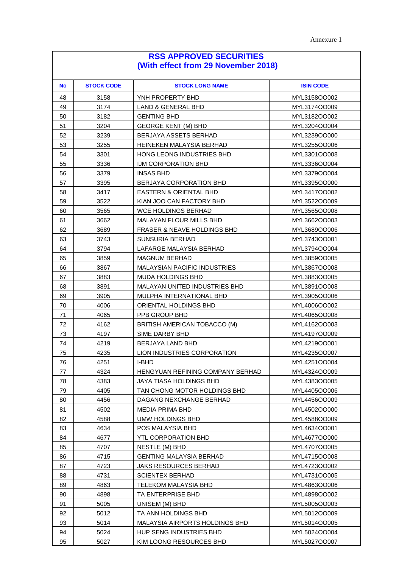| <b>No</b> | <b>STOCK CODE</b> | <b>STOCK LONG NAME</b>                 | <b>ISIN CODE</b> |
|-----------|-------------------|----------------------------------------|------------------|
| 48        | 3158              | YNH PROPERTY BHD                       | MYL3158OO002     |
| 49        | 3174              | <b>LAND &amp; GENERAL BHD</b>          | MYL3174OO009     |
| 50        | 3182              | <b>GENTING BHD</b>                     | MYL3182OO002     |
| 51        | 3204              | <b>GEORGE KENT (M) BHD</b>             | MYL3204OO004     |
| 52        | 3239              | BERJAYA ASSETS BERHAD                  | MYL3239OO000     |
| 53        | 3255              | HEINEKEN MALAYSIA BERHAD               | MYL3255OO006     |
| 54        | 3301              | HONG LEONG INDUSTRIES BHD              | MYL3301OO008     |
| 55        | 3336              | IJM CORPORATION BHD                    | MYL3336OO004     |
| 56        | 3379              | <b>INSAS BHD</b>                       | MYL3379OO004     |
| 57        | 3395              | BERJAYA CORPORATION BHD                | MYL3395OO000     |
| 58        | 3417              | <b>EASTERN &amp; ORIENTAL BHD</b>      | MYL3417OO002     |
| 59        | 3522              | KIAN JOO CAN FACTORY BHD               | MYL3522OO009     |
| 60        | 3565              | <b>WCE HOLDINGS BERHAD</b>             | MYL3565OO008     |
| 61        | 3662              | <b>MALAYAN FLOUR MILLS BHD</b>         | MYL3662OO003     |
| 62        | 3689              | <b>FRASER &amp; NEAVE HOLDINGS BHD</b> | MYL3689OO006     |
| 63        | 3743              | SUNSURIA BERHAD                        | MYL3743OO001     |
| 64        | 3794              | LAFARGE MALAYSIA BERHAD                | MYL3794OO004     |
| 65        | 3859              | <b>MAGNUM BERHAD</b>                   | MYL3859OO005     |
| 66        | 3867              | <b>MALAYSIAN PACIFIC INDUSTRIES</b>    | MYL3867OO008     |
| 67        | 3883              | <b>MUDA HOLDINGS BHD</b>               | MYL3883OO005     |
| 68        | 3891              | MALAYAN UNITED INDUSTRIES BHD          | MYL3891OO008     |
| 69        | 3905              | MULPHA INTERNATIONAL BHD               | MYL3905OO006     |
| 70        | 4006              | ORIENTAL HOLDINGS BHD                  | MYL4006OO002     |
| 71        | 4065              | PPB GROUP BHD                          | MYL4065OO008     |
| 72        | 4162              | BRITISH AMERICAN TOBACCO (M)           | MYL4162OO003     |
| 73        | 4197              | SIME DARBY BHD                         | MYL4197OO009     |
| 74        | 4219              | BERJAYA LAND BHD                       | MYL4219OO001     |
| 75        | 4235              | LION INDUSTRIES CORPORATION            | MYL4235OO007     |
| 76        | 4251              | I-BHD                                  | MYL4251OO004     |
| 77        | 4324              | HENGYUAN REFINING COMPANY BERHAD       | MYL4324OO009     |
| 78        | 4383              | JAYA TIASA HOLDINGS BHD                | MYL4383OO005     |
| 79        | 4405              | TAN CHONG MOTOR HOLDINGS BHD           | MYL4405OO006     |
| 80        | 4456              | DAGANG NEXCHANGE BERHAD                | MYL4456OO009     |
| 81        | 4502              | <b>MEDIA PRIMA BHD</b>                 | MYL4502OO000     |
| 82        | 4588              | UMW HOLDINGS BHD                       | MYL4588OO009     |
| 83        | 4634              | POS MALAYSIA BHD                       | MYL4634OO001     |
| 84        | 4677              | <b>YTL CORPORATION BHD</b>             | MYL4677OO000     |
| 85        | 4707              | NESTLE (M) BHD                         | MYL4707OO005     |
| 86        | 4715              | <b>GENTING MALAYSIA BERHAD</b>         | MYL4715OO008     |
| 87        | 4723              | JAKS RESOURCES BERHAD                  | MYL4723OO002     |
| 88        | 4731              | <b>SCIENTEX BERHAD</b>                 | MYL4731OO005     |
| 89        | 4863              | <b>TELEKOM MALAYSIA BHD</b>            | MYL4863OO006     |
| 90        | 4898              | TA ENTERPRISE BHD                      | MYL4898OO002     |
| 91        | 5005              | UNISEM (M) BHD                         | MYL5005OO003     |
| 92        | 5012              | TA ANN HOLDINGS BHD                    | MYL5012OO009     |
| 93        | 5014              | <b>MALAYSIA AIRPORTS HOLDINGS BHD</b>  | MYL5014OO005     |
| 94        | 5024              | HUP SENG INDUSTRIES BHD                | MYL5024OO004     |
| 95        | 5027              | KIM LOONG RESOURCES BHD                | MYL5027OO007     |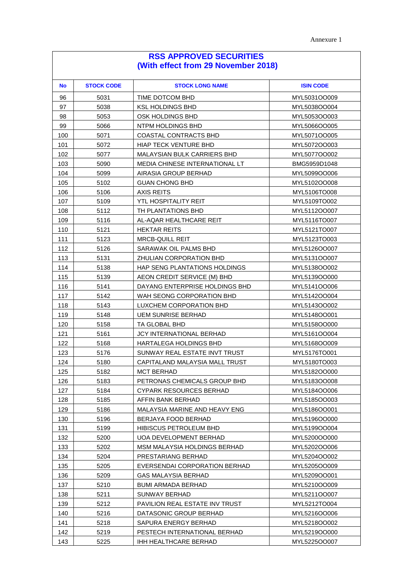| <b>No</b> | <b>STOCK CODE</b> | <b>STOCK LONG NAME</b>             | <b>ISIN CODE</b> |
|-----------|-------------------|------------------------------------|------------------|
| 96        | 5031              | TIME DOTCOM BHD                    | MYL5031OO009     |
| 97        | 5038              | <b>KSL HOLDINGS BHD</b>            | MYL5038OO004     |
| 98        | 5053              | OSK HOLDINGS BHD                   | MYL5053OO003     |
| 99        | 5066              | NTPM HOLDINGS BHD                  | MYL5066OO005     |
| 100       | 5071              | COASTAL CONTRACTS BHD              | MYL5071OO005     |
| 101       | 5072              | <b>HIAP TECK VENTURE BHD</b>       | MYL5072OO003     |
| 102       | 5077              | <b>MALAYSIAN BULK CARRIERS BHD</b> | MYL5077OO002     |
| 103       | 5090              | MEDIA CHINESE INTERNATIONAL LT     | BMG5959D1048     |
| 104       | 5099              | AIRASIA GROUP BERHAD               | MYL5099OO006     |
| 105       | 5102              | <b>GUAN CHONG BHD</b>              | MYL5102OO008     |
| 106       | 5106              | <b>AXIS REITS</b>                  | MYL5106TO008     |
| 107       | 5109              | YTL HOSPITALITY REIT               | MYL5109TO002     |
| 108       | 5112              | TH PLANTATIONS BHD                 | MYL5112OO007     |
| 109       | 5116              | AL-AQAR HEALTHCARE REIT            | MYL5116TO007     |
| 110       | 5121              | <b>HEKTAR REITS</b>                | MYL5121TO007     |
| 111       | 5123              | <b>MRCB-QUILL REIT</b>             | MYL5123TO003     |
| 112       | 5126              | SARAWAK OIL PALMS BHD              | MYL5126OO007     |
| 113       | 5131              | <b>ZHULIAN CORPORATION BHD</b>     | MYL5131OO007     |
| 114       | 5138              | HAP SENG PLANTATIONS HOLDINGS      | MYL5138OO002     |
| 115       | 5139              | AEON CREDIT SERVICE (M) BHD        | MYL5139OO000     |
| 116       | 5141              | DAYANG ENTERPRISE HOLDINGS BHD     | MYL5141OO006     |
| 117       | 5142              | WAH SEONG CORPORATION BHD          | MYL5142OO004     |
| 118       | 5143              | LUXCHEM CORPORATION BHD            | MYL5143OO002     |
| 119       | 5148              | <b>UEM SUNRISE BERHAD</b>          | MYL5148OO001     |
| 120       | 5158              | TA GLOBAL BHD                      | MYL5158OO000     |
| 121       | 5161              | <b>JCY INTERNATIONAL BERHAD</b>    | MYL5161OO004     |
| 122       | 5168              | HARTALEGA HOLDINGS BHD             | MYL5168OO009     |
| 123       | 5176              | SUNWAY REAL ESTATE INVT TRUST      | MYL5176TO001     |
| 124       | 5180              | CAPITALAND MALAYSIA MALL TRUST     | MYL5180TO003     |
| 125       | 5182              | <b>MCT BERHAD</b>                  | MYL5182OO000     |
| 126       | 5183              | PETRONAS CHEMICALS GROUP BHD       | MYL5183OO008     |
| 127       | 5184              | <b>CYPARK RESOURCES BERHAD</b>     | MYL5184OO006     |
| 128       | 5185              | AFFIN BANK BERHAD                  | MYL5185OO003     |
| 129       | 5186              | MALAYSIA MARINE AND HEAVY ENG      | MYL5186OO001     |
| 130       | 5196              | BERJAYA FOOD BERHAD                | MYL5196OO000     |
| 131       | 5199              | <b>HIBISCUS PETROLEUM BHD</b>      | MYL5199OO004     |
| 132       | 5200              | UOA DEVELOPMENT BERHAD             | MYL5200OO000     |
| 133       | 5202              | MSM MALAYSIA HOLDINGS BERHAD       | MYL5202OO006     |
| 134       | 5204              | PRESTARIANG BERHAD                 | MYL5204OO002     |
| 135       | 5205              | EVERSENDAI CORPORATION BERHAD      | MYL5205OO009     |
| 136       | 5209              | <b>GAS MALAYSIA BERHAD</b>         | MYL5209OO001     |
| 137       | 5210              | <b>BUMI ARMADA BERHAD</b>          | MYL5210OO009     |
| 138       | 5211              | SUNWAY BERHAD                      | MYL5211OO007     |
| 139       | 5212              | PAVILION REAL ESTATE INV TRUST     | MYL5212TO004     |
| 140       | 5216              | DATASONIC GROUP BERHAD             | MYL5216OO006     |
| 141       | 5218              | SAPURA ENERGY BERHAD               | MYL5218OO002     |
| 142       | 5219              | PESTECH INTERNATIONAL BERHAD       | MYL5219OO000     |
| 143       | 5225              | IHH HEALTHCARE BERHAD              | MYL5225OO007     |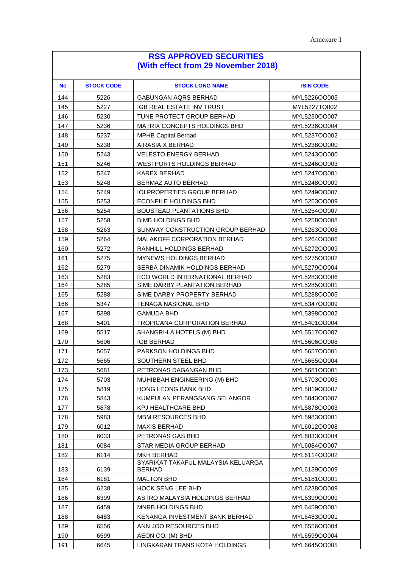| <b>No</b> | <b>STOCK CODE</b> | <b>STOCK LONG NAME</b>                              | <b>ISIN CODE</b> |
|-----------|-------------------|-----------------------------------------------------|------------------|
| 144       | 5226              | <b>GABUNGAN AQRS BERHAD</b>                         | MYL5226OO005     |
| 145       | 5227              | IGB REAL ESTATE INV TRUST                           | MYL5227TO002     |
| 146       | 5230              | TUNE PROTECT GROUP BERHAD                           | MYL5230OO007     |
| 147       | 5236              | <b>MATRIX CONCEPTS HOLDINGS BHD</b>                 | MYL5236OO004     |
| 148       | 5237              | <b>MPHB Capital Berhad</b>                          | MYL5237OO002     |
| 149       | 5238              | AIRASIA X BERHAD                                    | MYL5238OO000     |
| 150       | 5243              | VELESTO ENERGY BERHAD                               | MYL5243OO000     |
| 151       | 5246              | <b>WESTPORTS HOLDINGS BERHAD</b>                    | MYL5246OO003     |
| 152       | 5247              | <b>KAREX BERHAD</b>                                 | MYL5247OO001     |
| 153       | 5248              | BERMAZ AUTO BERHAD                                  | MYL5248OO009     |
| 154       | 5249              | <b>IOI PROPERTIES GROUP BERHAD</b>                  | MYL5249OO007     |
| 155       | 5253              | ECONPILE HOLDINGS BHD                               | MYL5253OO009     |
| 156       | 5254              | <b>BOUSTEAD PLANTATIONS BHD</b>                     | MYL5254OO007     |
| 157       | 5258              | <b>BIMB HOLDINGS BHD</b>                            | MYL5258OO008     |
| 158       | 5263              | SUNWAY CONSTRUCTION GROUP BERHAD                    | MYL5263OO008     |
| 159       | 5264              | <b>MALAKOFF CORPORATION BERHAD</b>                  | MYL5264OO006     |
| 160       | 5272              | RANHILL HOLDINGS BERHAD                             | MYL5272OO009     |
| 161       | 5275              | <b>MYNEWS HOLDINGS BERHAD</b>                       | MYL5275OO002     |
| 162       | 5279              | SERBA DINAMIK HOLDINGS BERHAD                       | MYL5279OO004     |
| 163       | 5283              | ECO WORLD INTERNATIONAL BERHAD                      | MYL5283OO006     |
| 164       | 5285              | SIME DARBY PLANTATION BERHAD                        | MYL5285OO001     |
| 165       | 5288              | SIME DARBY PROPERTY BERHAD                          | MYL5288OO005     |
| 166       | 5347              | <b>TENAGA NASIONAL BHD</b>                          | MYL5347OO009     |
| 167       | 5398              | <b>GAMUDA BHD</b>                                   | MYL5398OO002     |
| 168       | 5401              | TROPICANA CORPORATION BERHAD                        | MYL5401OO004     |
| 169       | 5517              | SHANGRI-LA HOTELS (M) BHD                           | MYL5517OO007     |
| 170       | 5606              | <b>IGB BERHAD</b>                                   | MYL5606OO008     |
| 171       | 5657              | PARKSON HOLDINGS BHD                                | MYL5657OO001     |
| 172       | 5665              | SOUTHERN STEEL BHD                                  | MYL5665OO004     |
| 173       | 5681              | PETRONAS DAGANGAN BHD                               | MYL5681OO001     |
| 174       | 5703              | MUHIBBAH ENGINEERING (M) BHD                        | MYL5703OO003     |
| 175       | 5819              | <b>HONG LEONG BANK BHD</b>                          | MYL5819OO007     |
| 176       | 5843              | KUMPULAN PERANGSANG SELANGOR                        | MYL5843OO007     |
| 177       | 5878              | KPJ HEALTHCARE BHD                                  | MYL5878OO003     |
| 178       | 5983              | <b>MBM RESOURCES BHD</b>                            | MYL5983OO001     |
| 179       | 6012              | <b>MAXIS BERHAD</b>                                 | MYL6012OO008     |
| 180       | 6033              | PETRONAS GAS BHD                                    | MYL6033OO004     |
| 181       | 6084              | STAR MEDIA GROUP BERHAD                             | MYL6084OO007     |
| 182       | 6114              | <b>MKH BERHAD</b>                                   | MYL6114OO002     |
| 183       | 6139              | SYARIKAT TAKAFUL MALAYSIA KELUARGA<br><b>BERHAD</b> | MYL6139OO009     |
| 184       | 6181              | <b>MALTON BHD</b>                                   | MYL6181OO001     |
| 185       | 6238              | <b>HOCK SENG LEE BHD</b>                            | MYL6238OO009     |
| 186       | 6399              | ASTRO MALAYSIA HOLDINGS BERHAD                      | MYL6399OO009     |
| 187       | 6459              | MNRB HOLDINGS BHD                                   | MYL6459OO001     |
| 188       | 6483              | KENANGA INVESTMENT BANK BERHAD                      | MYL6483OO001     |
| 189       | 6556              | ANN JOO RESOURCES BHD                               | MYL6556OO004     |
| 190       | 6599              | AEON CO. (M) BHD                                    | MYL6599OO004     |
| 191       | 6645              | LINGKARAN TRANS KOTA HOLDINGS                       | MYL6645OO005     |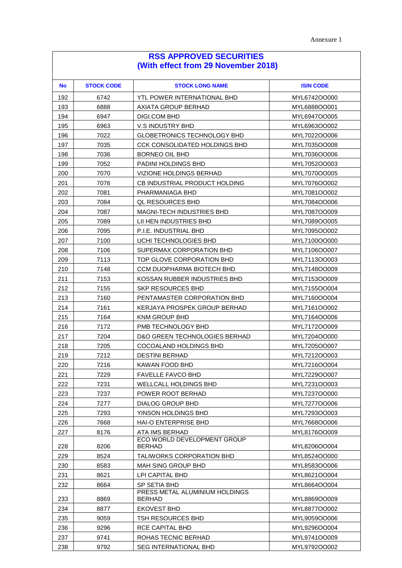| <b>No</b> | <b>STOCK CODE</b> | <b>STOCK LONG NAME</b>                          | <b>ISIN CODE</b> |
|-----------|-------------------|-------------------------------------------------|------------------|
| 192       | 6742              | YTL POWER INTERNATIONAL BHD                     | MYL6742OO000     |
| 193       | 6888              | AXIATA GROUP BERHAD                             | MYL6888OO001     |
| 194       | 6947              | DIGI.COM BHD                                    | MYL6947OO005     |
| 195       | 6963              | <b>V.S INDUSTRY BHD</b>                         | MYL6963OO002     |
| 196       | 7022              | <b>GLOBETRONICS TECHNOLOGY BHD</b>              | MYL7022OO006     |
| 197       | 7035              | <b>CCK CONSOLIDATED HOLDINGS BHD</b>            | MYL7035OO008     |
| 198       | 7036              | BORNEO OIL BHD                                  | MYL7036OO006     |
| 199       | 7052              | <b>PADINI HOLDINGS BHD</b>                      | MYL7052OO003     |
| 200       | 7070              | <b>VIZIONE HOLDINGS BERHAD</b>                  | MYL7070OO005     |
| 201       | 7076              | CB INDUSTRIAL PRODUCT HOLDING                   | MYL7076OO002     |
| 202       | 7081              | PHARMANIAGA BHD                                 | MYL7081OO002     |
| 203       | 7084              | QL RESOURCES BHD                                | MYL7084OO006     |
| 204       | 7087              | <b>MAGNI-TECH INDUSTRIES BHD</b>                | MYL7087OO009     |
| 205       | 7089              | LII HEN INDUSTRIES BHD                          | MYL7089OO005     |
| 206       | 7095              | P.I.E. INDUSTRIAL BHD                           | MYL7095OO002     |
| 207       | 7100              | UCHI TECHNOLOGIES BHD                           | MYL7100OO000     |
| 208       | 7106              | SUPERMAX CORPORATION BHD                        | MYL7106OO007     |
| 209       | 7113              | TOP GLOVE CORPORATION BHD                       | MYL7113OO003     |
| 210       | 7148              | <b>CCM DUOPHARMA BIOTECH BHD</b>                | MYL7148OO009     |
| 211       | 7153              | KOSSAN RUBBER INDUSTRIES BHD                    | MYL7153OO009     |
| 212       | 7155              | <b>SKP RESOURCES BHD</b>                        | MYL7155OO004     |
| 213       | 7160              | PENTAMASTER CORPORATION BHD                     | MYL7160OO004     |
| 214       | 7161              | KERJAYA PROSPEK GROUP BERHAD                    | MYL7161OO002     |
| 215       | 7164              | <b>KNM GROUP BHD</b>                            | MYL7164OO006     |
| 216       | 7172              | PMB TECHNOLOGY BHD                              | MYL7172OO009     |
| 217       | 7204              | D&O GREEN TECHNOLOGIES BERHAD                   | MYL7204OO000     |
| 218       | 7205              | COCOALAND HOLDINGS BHD                          | MYL7205OO007     |
| 219       | 7212              | <b>DESTINI BERHAD</b>                           | MYL7212OO003     |
| 220       | 7216              | KAWAN FOOD BHD                                  | MYL7216OO004     |
| 221       | 7229              | FAVELLE FAVCO BHD                               | MYL7229OO007     |
| 222       | 7231              | WELLCALL HOLDINGS BHD                           | MYL7231OO003     |
| 223       | 7237              | POWER ROOT BERHAD                               | MYL7237OO000     |
| 224       | 7277              | <b>DIALOG GROUP BHD</b>                         | MYL7277OO006     |
| 225       | 7293              | YINSON HOLDINGS BHD                             | MYL7293OO003     |
| 226       | 7668              | HAI-O ENTERPRISE BHD                            | MYL7668OO006     |
| 227       | 8176              | ATA IMS BERHAD                                  | MYL8176OO009     |
| 228       | 8206              | ECO WORLD DEVELOPMENT GROUP<br><b>BERHAD</b>    | MYL8206OO004     |
| 229       | 8524              | TALIWORKS CORPORATION BHD                       | MYL8524OO000     |
| 230       | 8583              | <b>MAH SING GROUP BHD</b>                       | MYL8583OO006     |
| 231       | 8621              | LPI CAPITAL BHD                                 | MYL8621OO004     |
| 232       | 8664              | SP SETIA BHD                                    | MYL8664OO004     |
| 233       | 8869              | PRESS METAL ALUMINIUM HOLDINGS<br><b>BERHAD</b> | MYL8869OO009     |
| 234       | 8877              | <b>EKOVEST BHD</b>                              | MYL8877OO002     |
| 235       | 9059              | TSH RESOURCES BHD                               | MYL9059OO006     |
| 236       | 9296              | RCE CAPITAL BHD                                 | MYL9296OO004     |
| 237       | 9741              | ROHAS TECNIC BERHAD                             | MYL9741OO009     |
| 238       | 9792              | <b>SEG INTERNATIONAL BHD</b>                    | MYL9792OO002     |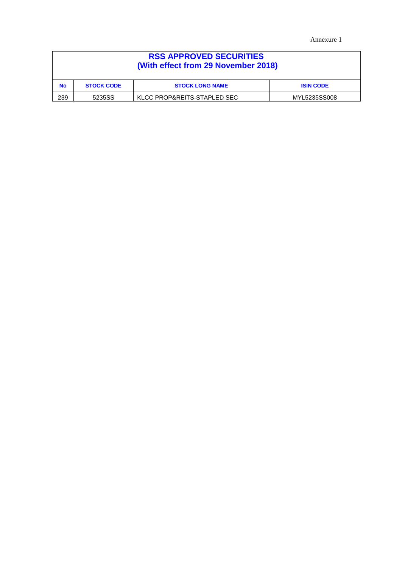Annexure 1

| <b>RSS APPROVED SECURITIES</b><br>(With effect from 29 November 2018) |                                                                 |  |  |  |  |
|-----------------------------------------------------------------------|-----------------------------------------------------------------|--|--|--|--|
| <b>No</b>                                                             | <b>STOCK CODE</b><br><b>STOCK LONG NAME</b><br><b>ISIN CODE</b> |  |  |  |  |
| 239                                                                   | KLCC PROP&REITS-STAPLED SEC<br>5235SS<br>MYL5235SS008           |  |  |  |  |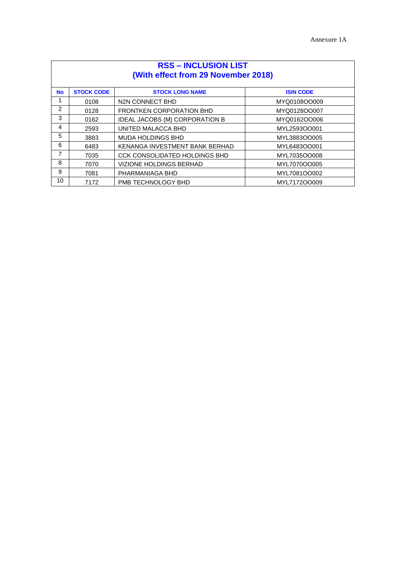| <b>RSS - INCLUSION LIST</b><br>(With effect from 29 November 2018) |                   |                                      |                  |
|--------------------------------------------------------------------|-------------------|--------------------------------------|------------------|
| <b>No</b>                                                          | <b>STOCK CODE</b> | <b>STOCK LONG NAME</b>               | <b>ISIN CODE</b> |
| 1                                                                  | 0108              | N2N CONNECT BHD                      | MYQ0108OO009     |
| 2                                                                  | 0128              | <b>FRONTKEN CORPORATION BHD</b>      | MYQ0128OO007     |
| 3                                                                  | 0162              | IDEAL JACOBS (M) CORPORATION B       | MYQ0162OO006     |
| 4                                                                  | 2593              | UNITED MALACCA BHD                   | MYL2593OO001     |
| 5                                                                  | 3883              | <b>MUDA HOLDINGS BHD</b>             | MYL3883OO005     |
| 6                                                                  | 6483              | KENANGA INVESTMENT BANK BERHAD       | MYL6483OO001     |
| 7                                                                  | 7035              | <b>CCK CONSOLIDATED HOLDINGS BHD</b> | MYL7035OO008     |
| 8                                                                  | 7070              | <b>VIZIONE HOLDINGS BERHAD</b>       | MYL7070OO005     |
| 9                                                                  | 7081              | PHARMANIAGA BHD                      | MYL7081OO002     |
| 10                                                                 | 7172              | PMB TECHNOLOGY BHD                   | MYL7172OO009     |